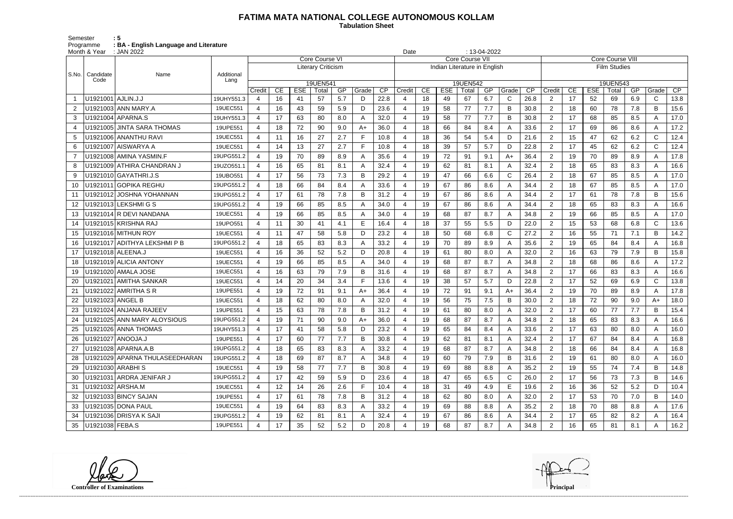## **FATIMA MATA NATIONAL COLLEGE AUTONOMOUS KOLLAM**

 **Tabulation Sheet** 

Semester : 5 Programme **: BA - English Language and Literature**

| Month & Year<br>: JAN 2022<br>Date |                    |                                |                    |                          |                 |            |                           |     |       | $: 13-04-2022$ |                 |    |            |                              |     |              |                 |                         |    |            |                     |     |              |      |
|------------------------------------|--------------------|--------------------------------|--------------------|--------------------------|-----------------|------------|---------------------------|-----|-------|----------------|-----------------|----|------------|------------------------------|-----|--------------|-----------------|-------------------------|----|------------|---------------------|-----|--------------|------|
|                                    |                    |                                |                    | Core Course VI           |                 |            |                           |     |       |                | Core Course VII |    |            |                              |     |              |                 | <b>Core Course VIII</b> |    |            |                     |     |              |      |
|                                    |                    |                                |                    |                          |                 |            | <b>Literary Criticism</b> |     |       |                |                 |    |            | Indian Literature in English |     |              |                 |                         |    |            | <b>Film Studies</b> |     |              |      |
| S.No.                              | Candidate<br>Code  | Name                           | Additional<br>Lang |                          |                 |            |                           |     |       |                |                 |    |            |                              |     |              |                 | 19UEN543                |    |            |                     |     |              |      |
|                                    |                    |                                |                    | Credit                   | CE              | <b>ESE</b> | 19UEN541<br>Total         | GP  | Grade | CP             | Credit          | CE | <b>ESE</b> | 19UEN542<br>Total            | GP  | Grade        | $\overline{CP}$ | Credit                  | CE | <b>ESE</b> | Total               | GP  | Grade        | CP   |
|                                    | U1921001 AJLIN.J.J |                                | 19UHY551.3         | $\overline{4}$           | 16              | 41         | 57                        | 5.7 | D     | 22.8           |                 | 18 | 49         | 67                           | 6.7 | C            | 26.8            | 2                       | 17 | 52         | 69                  | 6.9 | $\mathsf{C}$ | 13.8 |
|                                    |                    | U1921003 ANN MARY.A            | 19UEC551           | $\overline{4}$           | 16              | 43         | 59                        | 5.9 | D     | 23.6           |                 | 19 | 58         | 77                           | 7.7 | B            | 30.8            | 2                       | 18 | 60         | 78                  | 7.8 | B            | 15.6 |
| 3                                  |                    | U1921004 APARNA.S              | 19UHY551.3         | $\overline{4}$           | 17              | 63         | 80                        | 8.0 | A     | 32.0           | 4               | 19 | 58         | 77                           | 7.7 | B            | 30.8            | $\overline{2}$          | 17 | 68         | 85                  | 8.5 | A            | 17.0 |
|                                    |                    | U1921005 JINTA SARA THOMAS     | 19UPE551           | $\overline{\mathbf{4}}$  | 18              | 72         | 90                        | 9.0 | $A+$  | 36.0           |                 | 18 | 66         | 84                           | 8.4 | A            | 33.6            | $\overline{2}$          | 17 | 69         | 86                  | 8.6 | A            | 17.2 |
| 5                                  |                    | U1921006 ANANTHU RAVI          | 19UEC551           | 4                        | 11              | 16         | 27                        | 2.7 | F     | 10.8           | 4               | 18 | 36         | 54                           | 5.4 | D            | 21.6            | 2                       | 15 | 47         | 62                  | 6.2 | C            | 12.4 |
| 6                                  |                    | U1921007   AISWARYA A          | 19UEC551           | $\overline{a}$           | 14              | 13         | 27                        | 2.7 | Е     | 10.8           | 4               | 18 | 39         | 57                           | 5.7 | D            | 22.8            | 2                       | 17 | 45         | 62                  | 6.2 | C            | 12.4 |
|                                    |                    | U1921008 AMINA YASMIN.F        | 19UPG551.2         | $\overline{4}$           | 19              | 70         | 89                        | 8.9 | A     | 35.6           | 4               | 19 | 72         | 91                           | 9.1 | $A+$         | 36.4            | 2                       | 19 | 70         | 89                  | 8.9 | A            | 17.8 |
| 8                                  |                    | U1921009 ATHIRA CHANDRAN J     | 19UZO551.1         | $\overline{4}$           | 16              | 65         | 81                        | 8.1 | A     | 32.4           | 4               | 19 | 62         | 81                           | 8.1 | A            | 32.4            | $\overline{2}$          | 18 | 65         | 83                  | 8.3 | A            | 16.6 |
| 9                                  |                    | U1921010 GAYATHRI.J.S          | 19UBO551           | $\overline{4}$           | 17              | 56         | 73                        | 7.3 | B     | 29.2           |                 | 19 | 47         | 66                           | 6.6 | $\mathsf{C}$ | 26.4            | $\overline{2}$          | 18 | 67         | 85                  | 8.5 | A            | 17.0 |
| 10                                 |                    | U1921011 GOPIKA REGHU          | 19UPG551.2         | $\boldsymbol{\Delta}$    | 18              | 66         | 84                        | 8.4 | A     | 33.6           |                 | 19 | 67         | 86                           | 8.6 | A            | 34.4            | $\overline{2}$          | 18 | 67         | 85                  | 8.5 | A            | 17.0 |
| 11                                 |                    | U1921012 JOSHNA YOHANNAN       | 19UPG551.2         | $\boldsymbol{\Delta}$    | 17              | 61         | 78                        | 7.8 | B     | 31.2           |                 | 19 | 67         | 86                           | 8.6 | A            | 34.4            | 2                       | 17 | 61         | 78                  | 7.8 | B            | 15.6 |
| 12                                 |                    | U1921013 LEKSHMI G S           | 19UPG551.2         | $\overline{4}$           | 19              | 66         | 85                        | 8.5 | A     | 34.0           | 4               | 19 | 67         | 86                           | 8.6 | A            | 34.4            | 2                       | 18 | 65         | 83                  | 8.3 | A            | 16.6 |
| 13                                 |                    | U1921014 R DEVI NANDANA        | 19UEC551           | $\overline{4}$           | 19              | 66         | 85                        | 8.5 | Α     | 34.0           | 4               | 19 | 68         | 87                           | 8.7 | A            | 34.8            | $\overline{2}$          | 19 | 66         | 85                  | 8.5 | A            | 17.0 |
| 14                                 |                    | U1921015 KRISHNA RAJ           | 19UPO551           | $\overline{4}$           | 11              | 30         | 41                        | 4.1 | Е     | 16.4           |                 | 18 | 37         | 55                           | 5.5 | D            | 22.0            | $\overline{2}$          | 15 | 53         | 68                  | 6.8 | C            | 13.6 |
| 15                                 |                    | U1921016 MITHUN ROY            | 19UEC551           | $\overline{4}$           | 11              | 47         | 58                        | 5.8 | D     | 23.2           |                 | 18 | 50         | 68                           | 6.8 | $\mathsf{C}$ | 27.2            | 2                       | 16 | 55         | 71                  | 7.1 | B            | 14.2 |
| 16                                 |                    | U1921017   ADITHYA LEKSHMI P B | 19UPG551.2         | $\boldsymbol{\Delta}$    | 18              | 65         | 83                        | 8.3 | А     | 33.2           |                 | 19 | 70         | 89                           | 8.9 | A            | 35.6            | 2                       | 19 | 65         | 84                  | 8.4 | A            | 16.8 |
| 17                                 |                    | U1921018 ALEENA.J              | 19UEC551           | $\overline{4}$           | 16              | 36         | 52                        | 5.2 | D     | 20.8           | 4               | 19 | 61         | 80                           | 8.0 | A            | 32.0            | $\overline{2}$          | 16 | 63         | 79                  | 7.9 | B            | 15.8 |
| 18                                 |                    | U1921019 ALICIA ANTONY         | 19UEC551           | $\overline{4}$           | 19              | 66         | 85                        | 8.5 | Α     | 34.0           |                 | 19 | 68         | 87                           | 8.7 | A            | 34.8            | $\overline{2}$          | 18 | 68         | 86                  | 8.6 | A            | 17.2 |
| 19                                 |                    | U1921020 AMALA JOSE            | 19UEC551           | $\overline{\mathbf{4}}$  | 16              | 63         | 79                        | 7.9 | B     | 31.6           |                 | 19 | 68         | 87                           | 8.7 | A            | 34.8            | $\overline{2}$          | 17 | 66         | 83                  | 8.3 | A            | 16.6 |
| 20                                 |                    | U1921021 AMITHA SANKAR         | 19UEC551           | $\overline{4}$           | 14              | 20         | 34                        | 3.4 | F.    | 13.6           | 4               | 19 | 38         | 57                           | 5.7 | D            | 22.8            | $\overline{2}$          | 17 | 52         | 69                  | 6.9 | C            | 13.8 |
| 21                                 |                    | U1921022 AMRITHA S R           | 19UPE551           | $\boldsymbol{\Delta}$    | 19              | 72         | 91                        | 9.1 | $A+$  | 36.4           |                 | 19 | 72         | 91                           | 9.1 | $A+$         | 36.4            | 2                       | 19 | 70         | 89                  | 8.9 | A            | 17.8 |
| 22                                 |                    | U1921023 ANGEL B               | 19UEC551           | $\overline{4}$           | 18              | 62         | 80                        | 8.0 | A     | 32.0           | 4               | 19 | 56         | 75                           | 7.5 | B            | 30.0            | 2                       | 18 | 72         | 90                  | 9.0 | A+           | 18.0 |
| 23                                 |                    | U1921024 ANJANA RAJEEV         | 19UPE551           | 4                        | 15              | 63         | 78                        | 7.8 | В     | 31.2           | 4               | 19 | 61         | 80                           | 8.0 | A            | 32.0            | $\overline{2}$          | 17 | 60         | 77                  | 7.7 | B            | 15.4 |
| 24                                 |                    | U1921025 ANN MARY ALOYSIOUS    | 19UPG551.2         | $\boldsymbol{\varDelta}$ | 19              | 71         | 90                        | 9.0 | A+    | 36.0           |                 | 19 | 68         | 87                           | 8.7 | A            | 34.8            | $\overline{2}$          | 18 | 65         | 83                  | 8.3 | A            | 16.6 |
| 25                                 |                    | U1921026 ANNA THOMAS           | 19UHY551.3         | 4                        | 17              | 41         | 58                        | 5.8 | D.    | 23.2           | 4               | 19 | 65         | 84                           | 8.4 | A            | 33.6            | 2                       | 17 | 63         | 80                  | 8.0 | A            | 16.0 |
| 26                                 |                    | U1921027 ANOOJA.J              | 19UPE551           | $\overline{4}$           | 17              | 60         | 77                        | 7.7 | В     | 30.8           | 4               | 19 | 62         | 81                           | 8.1 | A            | 32.4            | $\overline{2}$          | 17 | 67         | 84                  | 8.4 | A            | 16.8 |
| 27                                 |                    | U1921028 APARNA.A.B            | 19UPG551.2         | $\overline{4}$           | 18              | 65         | 83                        | 8.3 | A     | 33.2           | 4               | 19 | 68         | 87                           | 8.7 | A            | 34.8            | $\overline{2}$          | 18 | 66         | 84                  | 8.4 | A            | 16.8 |
| 28                                 |                    | U1921029 APARNA THULASEEDHARAN | 19UPG551.2         | $\overline{4}$           | 18              | 69         | 87                        | 8.7 | A     | 34.8           | 4               | 19 | 60         | 79                           | 7.9 | B            | 31.6            | $\overline{2}$          | 19 | 61         | 80                  | 8.0 | A            | 16.0 |
| 29                                 |                    | U1921030 ARABHIS               | 19UEC551           | $\overline{4}$           | 19              | 58         | 77                        | 7.7 | В     | 30.8           |                 | 19 | 69         | 88                           | 8.8 | A            | 35.2            | $\overline{2}$          | 19 | 55         | 74                  | 7.4 | B            | 14.8 |
| 30                                 |                    | U1921031 ARDRA JENIFAR J       | 19UPG551.2         | $\overline{4}$           | 17              | 42         | 59                        | 5.9 | D     | 23.6           | 4               | 18 | 47         | 65                           | 6.5 | C            | 26.0            | $\overline{2}$          | 17 | 56         | 73                  | 7.3 | B            | 14.6 |
| 31                                 |                    | U1921032 ARSHA.M               | 19UEC551           | 4                        | 12 <sup>2</sup> | 14         | 26                        | 2.6 |       | 10.4           | 4               | 18 | 31         | 49                           | 4.9 | E            | 19.6            | $\overline{2}$          | 16 | 36         | 52                  | 5.2 | D            | 10.4 |
| 32                                 |                    | U1921033 BINCY SAJAN           | 19UPE551           | 4                        | 17              | 61         | 78                        | 7.8 | В     | 31.2           | 4               | 18 | 62         | 80                           | 8.0 | A            | 32.0            | $\overline{2}$          | 17 | 53         | 70                  | 7.0 | B            | 14.0 |
| 33                                 |                    | U1921035 DONA PAUL             | 19UEC551           | $\overline{4}$           | 19              | 64         | 83                        | 8.3 | A     | 33.2           | 4               | 19 | 69         | 88                           | 8.8 | A            | 35.2            | $\overline{2}$          | 18 | 70         | 88                  | 8.8 | A            | 17.6 |
| 34                                 |                    | U1921036 DRISYA K SAJI         | 19UPG551.2         |                          | 19              | 62         | 81                        | 8.1 | A     | 32.4           |                 | 19 | 67         | 86                           | 8.6 | Α            | 34.4            | $\overline{2}$          | 17 | 65         | 82                  | 8.2 | A            | 16.4 |
| 35                                 | U1921038 FEBA.S    |                                | 19UPE551           | $\overline{4}$           | 17              | 35         | 52                        | 5.2 | D     | 20.8           |                 | 19 | 68         | 87                           | 8.7 | Α            | 34.8            | $\overline{2}$          | 16 | 65         | 81                  | 8.1 | A            | 16.2 |

**Controller of Examinations** 

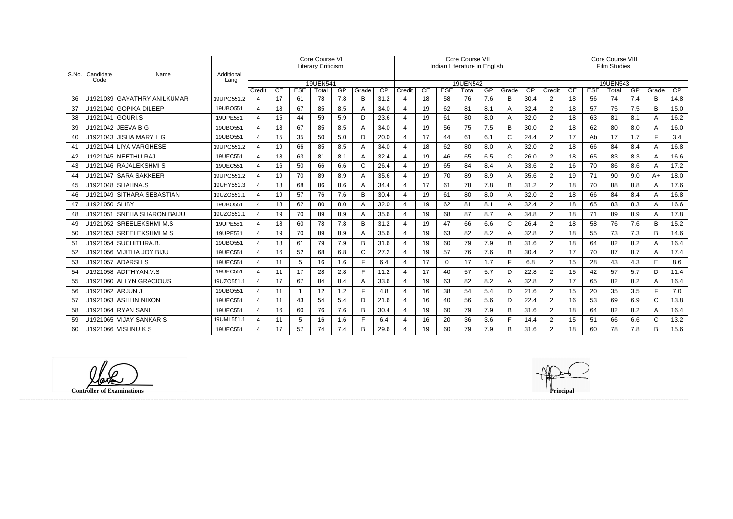|           |                   |                             |                    | <b>Core Course VI</b> |    |              |                           |     |       |      | Core Course VII              |    |            |                   |     |              |      |                | <b>Core Course VIII</b> |            |                   |     |              |      |  |
|-----------|-------------------|-----------------------------|--------------------|-----------------------|----|--------------|---------------------------|-----|-------|------|------------------------------|----|------------|-------------------|-----|--------------|------|----------------|-------------------------|------------|-------------------|-----|--------------|------|--|
|           |                   |                             |                    |                       |    |              | <b>Literary Criticism</b> |     |       |      | Indian Literature in English |    |            |                   |     |              |      |                | <b>Film Studies</b>     |            |                   |     |              |      |  |
| $ $ S.No. | Candidate<br>Code | Name                        | Additional<br>Lang |                       |    |              |                           |     |       |      |                              |    |            |                   |     |              |      |                |                         |            |                   |     |              |      |  |
|           |                   |                             |                    | Credit                | CE | <b>ESE</b>   | 19UEN541<br>Total         | GP  | Grade | CP   | Credit                       | CE | <b>ESE</b> | 19UEN542<br>Total | GP  | Grade        | CP   | Credit         | CE                      | <b>ESE</b> | 19UEN543<br>Total | GP  | Grade        | CP   |  |
| 36        |                   | U1921039 GAYATHRY ANILKUMAR | 19UPG551.2         | $\overline{4}$        | 17 | 61           | 78                        | 7.8 | B     | 31.2 |                              | 18 | 58         | 76                | 7.6 | B            | 30.4 | $\overline{2}$ | 18                      | 56         | 74                | 7.4 | B            | 14.8 |  |
| 37        |                   | U1921040 GOPIKA DILEEP      | 19UBO551           | 4                     | 18 | 67           | 85                        | 8.5 | A     | 34.0 |                              | 19 | 62         | 81                | 8.1 | A            | 32.4 | $\overline{2}$ | 18                      | 57         | 75                | 7.5 | B            | 15.0 |  |
| 38        |                   | U1921041 GOURI.S            | 19UPE551           | 4                     | 15 | 44           | 59                        | 5.9 | D     | 23.6 |                              | 19 | 61         | 80                | 8.0 | A            | 32.0 | $\overline{2}$ | 18                      | 63         | 81                | 8.1 | A            | 16.2 |  |
| 39        |                   | U1921042 JEEVA B G          | 19UBO551           | $\overline{4}$        | 18 | 67           | 85                        | 8.5 |       | 34.0 | $\boldsymbol{\varDelta}$     | 19 | 56         | 75                | 7.5 | B            | 30.0 | 2              | 18                      | 62         | 80                | 8.0 | A            | 16.0 |  |
| 40        |                   | U1921043 JISHA MARY L G     | 19UBO551           | 4                     | 15 | 35           | 50                        | 5.0 | D     | 20.0 |                              | 17 | 44         | 61                | 6.1 | $\mathsf{C}$ | 24.4 | $\overline{2}$ | 17                      | Ab         | 17                | 1.7 | F.           | 3.4  |  |
| 41        |                   | U1921044 LIYA VARGHESE      | 19UPG551.2         | 4                     | 19 | 66           | 85                        | 8.5 |       | 34.0 |                              | 18 | 62         | 80                | 8.0 | A            | 32.0 | 2              | 18                      | 66         | 84                | 8.4 | A            | 16.8 |  |
| 42        |                   | U1921045 NEETHU RAJ         | 19UEC551           | 4                     | 18 | 63           | 81                        | 8.1 |       | 32.4 |                              | 19 | 46         | 65                | 6.5 | $\mathsf C$  | 26.0 | $\overline{2}$ | 18                      | 65         | 83                | 8.3 | A            | 16.6 |  |
| 43        |                   | U1921046 RAJALEKSHMI S      | 19UEC551           | 4                     | 16 | 50           | 66                        | 6.6 | C     | 26.4 |                              | 19 | 65         | 84                | 8.4 | A            | 33.6 | $\overline{2}$ | 16                      | 70         | 86                | 8.6 | A            | 17.2 |  |
| 44        |                   | U1921047 SARA SAKKEER       | 19UPG551.2         | 4                     | 19 | 70           | 89                        | 8.9 | A     | 35.6 |                              | 19 | 70         | 89                | 8.9 | A            | 35.6 | 2              | 19                      | 71         | 90                | 9.0 | $A+$         | 18.0 |  |
| 45        |                   | U1921048 SHAHNA.S           | 19UHY551.3         | 4                     | 18 | 68           | 86                        | 8.6 | А     | 34.4 |                              | 17 | 61         | 78                | 7.8 | B            | 31.2 | $\overline{2}$ | 18                      | 70         | 88                | 8.8 | A            | 17.6 |  |
| 46        |                   | U1921049 SITHARA SEBASTIAN  | 19UZO551.1         | $\overline{4}$        | 19 | 57           | 76                        | 7.6 | B     | 30.4 |                              | 19 | 61         | 80                | 8.0 | A            | 32.0 | 2              | 18                      | 66         | 84                | 8.4 | A            | 16.8 |  |
| 47        | U1921050 SLIBY    |                             | 19UBO551           | 4                     | 18 | 62           | 80                        | 8.0 |       | 32.0 |                              | 19 | 62         | 81                | 8.1 | A            | 32.4 | $\overline{2}$ | 18                      | 65         | 83                | 8.3 | A            | 16.6 |  |
| 48        |                   | U1921051 SNEHA SHARON BAIJU | 19UZO551.1         | 4                     | 19 | 70           | 89                        | 8.9 | A     | 35.6 |                              | 19 | 68         | 87                | 8.7 | A            | 34.8 | 2              | 18                      | 71         | 89                | 8.9 | A            | 17.8 |  |
| 49        |                   | U1921052 SREELEKSHMI M.S    | 19UPE551           | 4                     | 18 | 60           | 78                        | 7.8 | B     | 31.2 |                              | 19 | 47         | 66                | 6.6 | $\mathsf{C}$ | 26.4 | 2              | 18                      | 58         | 76                | 7.6 | B            | 15.2 |  |
| 50        |                   | U1921053 SREELEKSHMI M S    | 19UPE551           | 4                     | 19 | 70           | 89                        | 8.9 |       | 35.6 |                              | 19 | 63         | 82                | 8.2 | A            | 32.8 | $\overline{2}$ | 18                      | 55         | 73                | 7.3 | B            | 14.6 |  |
| 51        |                   | U1921054 SUCHITHRA.B.       | 19UBO551           | 4                     | 18 | 61           | 79                        | 7.9 | B     | 31.6 |                              | 19 | 60         | 79                | 7.9 | B            | 31.6 | 2              | 18                      | 64         | 82                | 8.2 | A            | 16.4 |  |
| 52        |                   | U1921056 VIJITHA JOY BIJU   | 19UEC551           | $\overline{4}$        | 16 | 52           | 68                        | 6.8 | C     | 27.2 |                              | 19 | 57         | 76                | 7.6 | B            | 30.4 | 2              | 17                      | 70         | 87                | 8.7 | A            | 17.4 |  |
| 53        |                   | U1921057 ADARSH S           | 19UEC551           | $\overline{4}$        | 11 | 5            | 16                        | 1.6 | F     | 6.4  |                              | 17 | $\Omega$   | 17                | 1.7 | F            | 6.8  | $\overline{2}$ | 15                      | 28         | 43                | 4.3 | E            | 8.6  |  |
| 54        |                   | U1921058 ADITHYAN.V.S       | 19UEC551           | 4                     | 11 | 17           | 28                        | 2.8 |       | 11.2 |                              | 17 | 40         | 57                | 5.7 | D            | 22.8 | 2              | 15                      | 42         | 57                | 5.7 | D            | 11.4 |  |
| 55        |                   | U1921060 ALLYN GRACIOUS     | 19UZO551.1         | $\overline{4}$        | 17 | 67           | 84                        | 8.4 | A     | 33.6 |                              | 19 | 63         | 82                | 8.2 | A            | 32.8 | 2              | 17                      | 65         | 82                | 8.2 | A            | 16.4 |  |
| 56        | U1921062 ARJUN J  |                             | 19UBO551           | 4                     | 11 | $\mathbf{1}$ | 12                        | 1.2 | F     | 4.8  |                              | 16 | 38         | 54                | 5.4 | D            | 21.6 | $\overline{2}$ | 15                      | 20         | 35                | 3.5 | F.           | 7.0  |  |
| 57        |                   | U1921063 ASHLIN NIXON       | 19UEC551           | 4                     | 11 | 43           | 54                        | 5.4 | D     | 21.6 |                              | 16 | 40         | 56                | 5.6 | D            | 22.4 | 2              | 16                      | 53         | 69                | 6.9 | C            | 13.8 |  |
| 58        |                   | U1921064 RYAN SANIL         | 19UEC551           | 4                     | 16 | 60           | 76                        | 7.6 | B     | 30.4 |                              | 19 | 60         | 79                | 7.9 | B            | 31.6 | 2              | 18                      | 64         | 82                | 8.2 | A            | 16.4 |  |
| 59        |                   | U1921065 VIJAY SANKAR S     | 19UML551.1         | 4                     | 11 | 5            | 16                        | 1.6 |       | 6.4  |                              | 16 | 20         | 36                | 3.6 | E            | 14.4 | $\overline{2}$ | 15                      | 51         | 66                | 6.6 | $\mathsf{C}$ | 13.2 |  |
| 60        |                   | U1921066 VISHNU K S         | 19UEC551           | 4                     | 17 | 57           | 74                        | 7.4 | B     | 29.6 |                              | 19 | 60         | 79                | 7.9 | <sub>B</sub> | 31.6 | $\overline{2}$ | 18                      | 60         | 78                | 7.8 | B            | 15.6 |  |

**Controller of Examinations Principal**

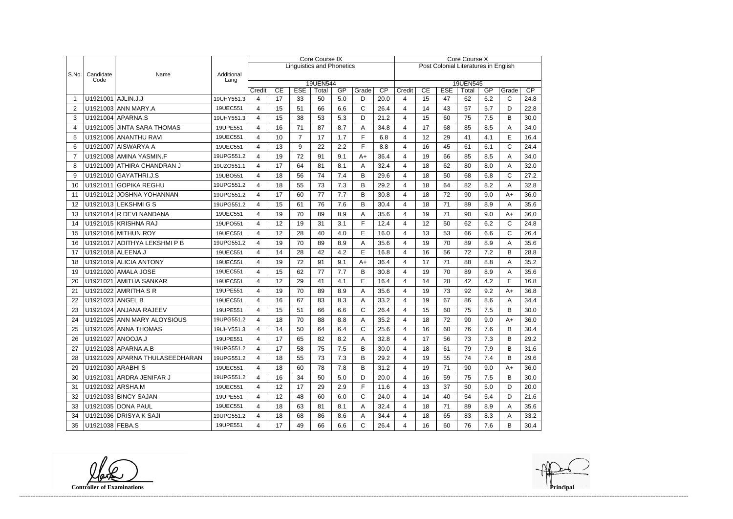|       |                    |                                |                    | <b>Core Course IX</b> |    |                |                                  |         |              |                                      | <b>Core Course X</b> |    |            |                   |     |              |      |  |
|-------|--------------------|--------------------------------|--------------------|-----------------------|----|----------------|----------------------------------|---------|--------------|--------------------------------------|----------------------|----|------------|-------------------|-----|--------------|------|--|
|       |                    |                                |                    |                       |    |                | <b>Linguistics and Phonetics</b> |         |              | Post Colonial Literatures in English |                      |    |            |                   |     |              |      |  |
| S.No. | Candidate<br>Code  | Name                           | Additional<br>Lang |                       |    |                |                                  |         |              |                                      |                      |    |            |                   |     |              |      |  |
|       |                    |                                |                    | Credit                | CE | <b>ESE</b>     | 19UEN544<br>Total                | GP      | Grade        | $\overline{CP}$                      | Credit               | CE | <b>ESE</b> | 19UEN545<br>Total | GP  | Grade        | CP   |  |
|       | U1921001 AJLIN.J.J |                                | 19UHY551.3         | 4                     | 17 | 33             | 50                               | 5.0     | D            | 20.0                                 | 4                    | 15 | 47         | 62                | 6.2 | $\mathsf{C}$ | 24.8 |  |
| 2     |                    | U1921003 ANN MARY.A            | 19UEC551           | 4                     | 15 | 51             | 66                               | 6.6     | $\mathsf{C}$ | 26.4                                 | 4                    | 14 | 43         | 57                | 5.7 | D            | 22.8 |  |
| 3     |                    | U1921004 APARNA.S              | 19UHY551.3         | 4                     | 15 | 38             | 53                               | 5.3     | D            | 21.2                                 | 4                    | 15 | 60         | 75                | 7.5 | B            | 30.0 |  |
| 4     |                    | U1921005 JINTA SARA THOMAS     | 19UPE551           | 4                     | 16 | 71             | 87                               | 8.7     | Α            | 34.8                                 | 4                    | 17 | 68         | 85                | 8.5 | Α            | 34.0 |  |
| 5     |                    | U1921006 ANANTHU RAVI          | 19UEC551           | 4                     | 10 | $\overline{7}$ | 17                               | 1.7     | F            | 6.8                                  | 4                    | 12 | 29         | 41                | 4.1 | E            | 16.4 |  |
| 6     |                    | U1921007 AISWARYA A            | 19UEC551           | 4                     | 13 | 9              | 22                               | 2.2     | F            | 8.8                                  | 4                    | 16 | 45         | 61                | 6.1 | C            | 24.4 |  |
| 7     |                    | U1921008 AMINA YASMIN.F        | 19UPG551.2         | 4                     | 19 | 72             | 91                               | 9.1     | $A+$         | 36.4                                 | 4                    | 19 | 66         | 85                | 8.5 | A            | 34.0 |  |
| 8     |                    | U1921009 ATHIRA CHANDRAN J     | 19UZO551.1         | 4                     | 17 | 64             | 81                               | 8.1     | Α            | 32.4                                 | 4                    | 18 | 62         | 80                | 8.0 | A            | 32.0 |  |
| 9     |                    | U1921010 GAYATHRI.J.S          | 19UBO551           | 4                     | 18 | 56             | 74                               | 7.4     | B            | 29.6                                 | 4                    | 18 | 50         | 68                | 6.8 | $\mathsf{C}$ | 27.2 |  |
| 10    |                    | U1921011 GOPIKA REGHU          | 19UPG551.2         | 4                     | 18 | 55             | 73                               | 7.3     | B            | 29.2                                 | 4                    | 18 | 64         | 82                | 8.2 | Α            | 32.8 |  |
| 11    |                    | U1921012 JOSHNA YOHANNAN       | 19UPG551.2         | 4                     | 17 | 60             | 77                               | 7.7     | B            | 30.8                                 | 4                    | 18 | 72         | 90                | 9.0 | $A+$         | 36.0 |  |
| 12    |                    | U1921013 LEKSHMIGS             | 19UPG551.2         | 4                     | 15 | 61             | 76                               | 7.6     | B            | 30.4                                 | 4                    | 18 | 71         | 89                | 8.9 | A            | 35.6 |  |
| 13    |                    | U1921014 R DEVI NANDANA        | 19UEC551           | 4                     | 19 | 70             | 89                               | 8.9     | Α            | 35.6                                 | 4                    | 19 | 71         | 90                | 9.0 | $A+$         | 36.0 |  |
| 14    |                    | U1921015 KRISHNA RAJ           | 19UPO551           | 4                     | 12 | 19             | 31                               | 3.1     | F            | 12.4                                 | 4                    | 12 | 50         | 62                | 6.2 | C            | 24.8 |  |
| 15    |                    | U1921016 MITHUN ROY            | 19UEC551           | 4                     | 12 | 28             | 40                               | 4.0     | E            | 16.0                                 | 4                    | 13 | 53         | 66                | 6.6 | C            | 26.4 |  |
| 16    |                    | U1921017 ADITHYA LEKSHMI P B   | 19UPG551.2         | 4                     | 19 | 70             | 89                               | 8.9     | A            | 35.6                                 | 4                    | 19 | 70         | 89                | 8.9 | Α            | 35.6 |  |
| 17    |                    | U1921018 ALEENA.J              | 19UEC551           | 4                     | 14 | 28             | 42                               | 4.2     | Е            | 16.8                                 | 4                    | 16 | 56         | 72                | 7.2 | B            | 28.8 |  |
| 18    |                    | U1921019 ALICIA ANTONY         | 19UEC551           | 4                     | 19 | 72             | 91                               | 9.1     | $A+$         | 36.4                                 | 4                    | 17 | 71         | 88                | 8.8 | Α            | 35.2 |  |
| 19    |                    | U1921020 AMALA JOSE            | 19UEC551           | 4                     | 15 | 62             | 77                               | 7.7     | B            | 30.8                                 | 4                    | 19 | 70         | 89                | 8.9 | Α            | 35.6 |  |
| 20    |                    | U1921021 AMITHA SANKAR         | 19UEC551           | 4                     | 12 | 29             | 41                               | 4.1     | E            | 16.4                                 | 4                    | 14 | 28         | 42                | 4.2 | E            | 16.8 |  |
| 21    |                    | U1921022 AMRITHA S R           | 19UPE551           | 4                     | 19 | 70             | 89                               | 8.9     | A            | 35.6                                 | 4                    | 19 | 73         | 92                | 9.2 | $A+$         | 36.8 |  |
| 22    | U1921023 ANGEL B   |                                | 19UEC551           | 4                     | 16 | 67             | 83                               | 8.3     | A            | 33.2                                 | 4                    | 19 | 67         | 86                | 8.6 | Α            | 34.4 |  |
| 23    |                    | U1921024 ANJANA RAJEEV         | 19UPE551           | 4                     | 15 | 51             | 66                               | 6.6     | $\mathsf{C}$ | 26.4                                 | 4                    | 15 | 60         | 75                | 7.5 | B            | 30.0 |  |
| 24    |                    | U1921025 ANN MARY ALOYSIOUS    | 19UPG551.2         | 4                     | 18 | 70             | 88                               | 8.8     | Α            | 35.2                                 | 4                    | 18 | 72         | 90                | 9.0 | $A+$         | 36.0 |  |
| 25    |                    | U1921026 ANNA THOMAS           | 19UHY551.3         | 4                     | 14 | 50             | 64                               | $6.4\,$ | C            | 25.6                                 | 4                    | 16 | 60         | 76                | 7.6 | <sub>R</sub> | 30.4 |  |
| 26    |                    | U1921027 ANOOJA.J              | 19UPE551           | 4                     | 17 | 65             | 82                               | 8.2     | A            | 32.8                                 | 4                    | 17 | 56         | 73                | 7.3 | В            | 29.2 |  |
| 27    |                    | U1921028 APARNA.A.B            | 19UPG551.2         | 4                     | 17 | 58             | 75                               | 7.5     | B            | 30.0                                 | 4                    | 18 | 61         | 79                | 7.9 | B            | 31.6 |  |
| 28    |                    | U1921029 APARNA THULASEEDHARAN | 19UPG551.2         | 4                     | 18 | 55             | 73                               | 7.3     | B            | 29.2                                 | 4                    | 19 | 55         | 74                | 7.4 | В            | 29.6 |  |
| 29    |                    | U1921030 ARABHIS               | 19UEC551           | 4                     | 18 | 60             | 78                               | 7.8     | B            | 31.2                                 | 4                    | 19 | 71         | 90                | 9.0 | A+           | 36.0 |  |
| 30    |                    | U1921031 ARDRA JENIFAR J       | 19UPG551.2         | 4                     | 16 | 34             | 50                               | 5.0     | D            | 20.0                                 | 4                    | 16 | 59         | 75                | 7.5 | B            | 30.0 |  |
| 31    |                    | U1921032 ARSHA.M               | 19UEC551           | 4                     | 12 | 17             | 29                               | 2.9     | F            | 11.6                                 | 4                    | 13 | 37         | 50                | 5.0 | D            | 20.0 |  |
| 32    |                    | U1921033 BINCY SAJAN           | 19UPE551           | 4                     | 12 | 48             | 60                               | 6.0     | $\mathsf{C}$ | 24.0                                 | 4                    | 14 | 40         | 54                | 5.4 | D            | 21.6 |  |
| 33    |                    | U1921035 DONA PAUL             | 19UEC551           | 4                     | 18 | 63             | 81                               | 8.1     | A            | 32.4                                 | 4                    | 18 | 71         | 89                | 8.9 | A            | 35.6 |  |
| 34    |                    | U1921036 DRISYA K SAJI         | 19UPG551.2         | 4                     | 18 | 68             | 86                               | 8.6     | A            | 34.4                                 | 4                    | 18 | 65         | 83                | 8.3 | Α            | 33.2 |  |
| 35    | U1921038 FEBA.S    |                                | 19UPE551           | 4                     | 17 | 49             | 66                               | 6.6     | $\mathsf C$  | 26.4                                 | 4                    | 16 | 60         | 76                | 7.6 | В            | 30.4 |  |

**Controller of Examinations**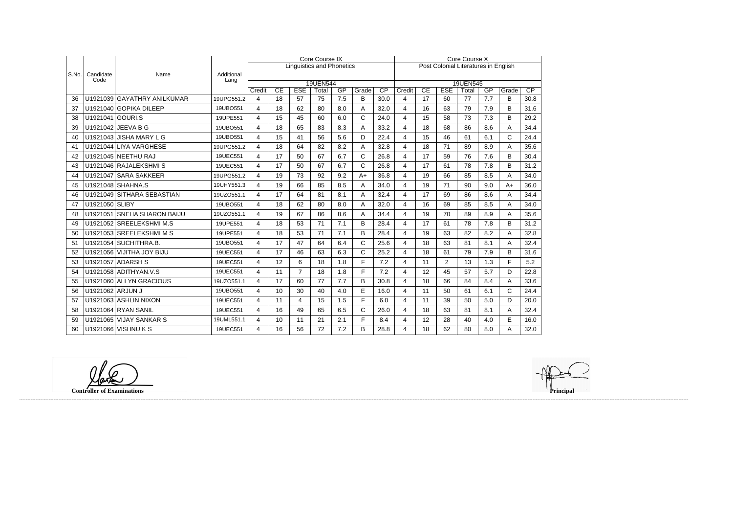|       |                   |                             |                    |                |    | <b>Core Course IX</b> |                                  |     | <b>Core Course X</b> |                 |                                      |    |                |       |     |              |      |  |  |
|-------|-------------------|-----------------------------|--------------------|----------------|----|-----------------------|----------------------------------|-----|----------------------|-----------------|--------------------------------------|----|----------------|-------|-----|--------------|------|--|--|
|       |                   |                             |                    |                |    |                       | <b>Linguistics and Phonetics</b> |     |                      |                 | Post Colonial Literatures in English |    |                |       |     |              |      |  |  |
| S.No. | Candidate<br>Code | Name                        | Additional<br>Lang |                |    |                       |                                  |     |                      |                 | 19UEN545                             |    |                |       |     |              |      |  |  |
|       |                   |                             |                    | Credit         | CE | <b>ESE</b>            | 19UEN544<br>Total                | GP  | Grade                | $\overline{CP}$ | Credit                               | CE | <b>ESE</b>     | Total | GP  | Grade        | CP   |  |  |
| 36    |                   | U1921039 GAYATHRY ANILKUMAR | 19UPG551.2         | 4              | 18 | 57                    | 75                               | 7.5 | B                    | 30.0            | 4                                    | 17 | 60             | 77    | 7.7 | В            | 30.8 |  |  |
| 37    |                   | U1921040 GOPIKA DILEEP      | 19UBO551           | 4              | 18 | 62                    | 80                               | 8.0 | A                    | 32.0            | 4                                    | 16 | 63             | 79    | 7.9 | B            | 31.6 |  |  |
| 38    | U1921041 GOURI.S  |                             | 19UPE551           | $\overline{4}$ | 15 | 45                    | 60                               | 6.0 | $\mathsf{C}$         | 24.0            | $\overline{\mathbf{4}}$              | 15 | 58             | 73    | 7.3 | B            | 29.2 |  |  |
| 39    | U1921042          | JEEVA B G                   | 19UBO551           | 4              | 18 | 65                    | 83                               | 8.3 | A                    | 33.2            | 4                                    | 18 | 68             | 86    | 8.6 | A            | 34.4 |  |  |
| 40    |                   | U1921043 JISHA MARY L G     | 19UBO551           | 4              | 15 | 41                    | 56                               | 5.6 | D                    | 22.4            | $\overline{\mathbf{4}}$              | 15 | 46             | 61    | 6.1 | C            | 24.4 |  |  |
| 41    |                   | U1921044 LIYA VARGHESE      | 19UPG551.2         | $\overline{4}$ | 18 | 64                    | 82                               | 8.2 | A                    | 32.8            | $\overline{\mathbf{4}}$              | 18 | 71             | 89    | 8.9 | Α            | 35.6 |  |  |
| 42    |                   | U1921045 NEETHU RAJ         | 19UEC551           | 4              | 17 | 50                    | 67                               | 6.7 | C                    | 26.8            | 4                                    | 17 | 59             | 76    | 7.6 | B            | 30.4 |  |  |
| 43    |                   | U1921046 RAJALEKSHMIS       | 19UEC551           | $\overline{4}$ | 17 | 50                    | 67                               | 6.7 | $\mathsf C$          | 26.8            | 4                                    | 17 | 61             | 78    | 7.8 | B            | 31.2 |  |  |
| 44    |                   | U1921047 SARA SAKKEER       | 19UPG551.2         | 4              | 19 | 73                    | 92                               | 9.2 | $A+$                 | 36.8            | 4                                    | 19 | 66             | 85    | 8.5 | Α            | 34.0 |  |  |
| 45    |                   | U1921048 SHAHNA.S           | 19UHY551.3         | 4              | 19 | 66                    | 85                               | 8.5 | Α                    | 34.0            | 4                                    | 19 | 71             | 90    | 9.0 | $A+$         | 36.0 |  |  |
| 46    |                   | U1921049 SITHARA SEBASTIAN  | 19UZO551.1         | $\overline{4}$ | 17 | 64                    | 81                               | 8.1 | Α                    | 32.4            | $\overline{4}$                       | 17 | 69             | 86    | 8.6 | Α            | 34.4 |  |  |
| 47    | U1921050 SLIBY    |                             | 19UBO551           | 4              | 18 | 62                    | 80                               | 8.0 | A                    | 32.0            | 4                                    | 16 | 69             | 85    | 8.5 | Α            | 34.0 |  |  |
| 48    |                   | U1921051 SNEHA SHARON BAIJU | 19UZO551.1         | 4              | 19 | 67                    | 86                               | 8.6 | Α                    | 34.4            | $\overline{4}$                       | 19 | 70             | 89    | 8.9 | Α            | 35.6 |  |  |
| 49    |                   | U1921052 SREELEKSHMI M.S    | 19UPE551           | $\overline{4}$ | 18 | 53                    | 71                               | 7.1 | B                    | 28.4            | $\overline{4}$                       | 17 | 61             | 78    | 7.8 | B            | 31.2 |  |  |
| 50    |                   | U1921053 SREELEKSHMIMS      | 19UPE551           | 4              | 18 | 53                    | 71                               | 7.1 | B                    | 28.4            | $\overline{4}$                       | 19 | 63             | 82    | 8.2 | Α            | 32.8 |  |  |
| 51    |                   | U1921054 SUCHITHRA.B.       | 19UBO551           | 4              | 17 | 47                    | 64                               | 6.4 | C                    | 25.6            | 4                                    | 18 | 63             | 81    | 8.1 | Α            | 32.4 |  |  |
| 52    |                   | U1921056 VIJITHA JOY BIJU   | 19UEC551           | $\overline{4}$ | 17 | 46                    | 63                               | 6.3 | C                    | 25.2            | 4                                    | 18 | 61             | 79    | 7.9 | B            | 31.6 |  |  |
| 53    |                   | U1921057 ADARSH S           | 19UEC551           | $\overline{4}$ | 12 | 6                     | 18                               | 1.8 | F                    | 7.2             | $\overline{4}$                       | 11 | $\overline{2}$ | 13    | 1.3 | F            | 5.2  |  |  |
| 54    |                   | U1921058 ADITHYAN.V.S       | 19UEC551           | 4              | 11 | $\overline{7}$        | 18                               | 1.8 | F                    | 7.2             | 4                                    | 12 | 45             | 57    | 5.7 | D            | 22.8 |  |  |
| 55    |                   | U1921060 ALLYN GRACIOUS     | 19UZO551.1         | 4              | 17 | 60                    | 77                               | 7.7 | B                    | 30.8            | 4                                    | 18 | 66             | 84    | 8.4 | A            | 33.6 |  |  |
| 56    | U1921062 ARJUN J  |                             | 19UBO551           | $\overline{4}$ | 10 | 30                    | 40                               | 4.0 | E                    | 16.0            | $\overline{4}$                       | 11 | 50             | 61    | 6.1 | $\mathsf{C}$ | 24.4 |  |  |
| 57    |                   | U1921063 ASHLIN NIXON       | 19UEC551           | 4              | 11 | 4                     | 15                               | 1.5 | F                    | 6.0             | 4                                    | 11 | 39             | 50    | 5.0 | D            | 20.0 |  |  |
| 58    |                   | U1921064 RYAN SANIL         | 19UEC551           | 4              | 16 | 49                    | 65                               | 6.5 | C                    | 26.0            | 4                                    | 18 | 63             | 81    | 8.1 | A            | 32.4 |  |  |
| 59    |                   | U1921065 VIJAY SANKAR S     | 19UML551.1         | 4              | 10 | 11                    | 21                               | 2.1 | F                    | 8.4             | 4                                    | 12 | 28             | 40    | 4.0 | E            | 16.0 |  |  |
| 60    |                   | U1921066 VISHNU K S         | 19UEC551           | $\overline{4}$ | 16 | 56                    | 72                               | 7.2 | B                    | 28.8            | 4                                    | 18 | 62             | 80    | 8.0 | A            | 32.0 |  |  |

**Controller of Examinations Principal**

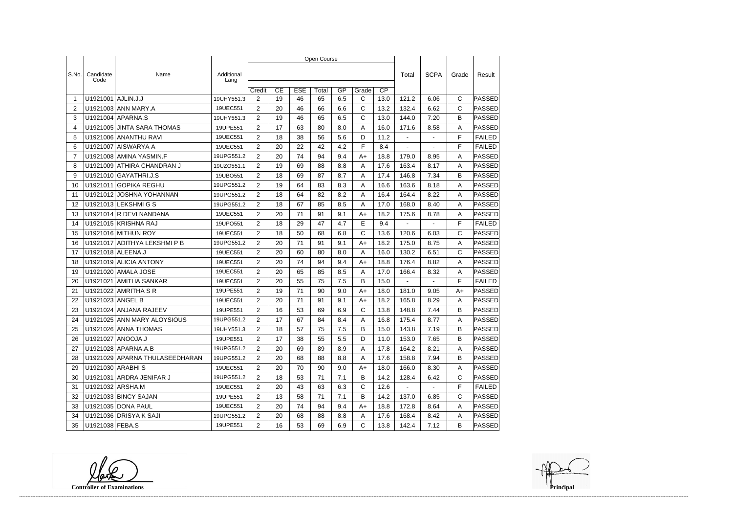|                 |                        |                                |                    | Open Course    |    |            |       |     |              |                 |                |                |              |               |  |
|-----------------|------------------------|--------------------------------|--------------------|----------------|----|------------|-------|-----|--------------|-----------------|----------------|----------------|--------------|---------------|--|
|                 |                        |                                |                    |                |    |            |       |     |              |                 |                |                |              |               |  |
| S.No.           | Candidate<br>Code      | Name                           | Additional<br>Lang |                |    |            |       |     |              |                 | Total          | <b>SCPA</b>    | Grade        | Result        |  |
|                 |                        |                                |                    | Credit         | CE | <b>ESE</b> | Total | GP  | Grade        | $\overline{CP}$ |                |                |              |               |  |
| -1              | U1921001               | AJLIN.J.J                      | 19UHY551.3         | $\overline{2}$ | 19 | 46         | 65    | 6.5 | C            | 13.0            | 121.2          | 6.06           | С            | PASSED        |  |
| 2               |                        | U1921003 ANN MARY.A            | 19UEC551           | $\overline{2}$ | 20 | 46         | 66    | 6.6 | C            | 13.2            | 132.4          | 6.62           | $\mathsf{C}$ | PASSED        |  |
| 3               |                        | U1921004 APARNA.S              | 19UHY551.3         | $\overline{2}$ | 19 | 46         | 65    | 6.5 | C            | 13.0            | 144.0          | 7.20           | B            | <b>PASSED</b> |  |
| 4               |                        | U1921005 JINTA SARA THOMAS     | 19UPE551           | $\overline{2}$ | 17 | 63         | 80    | 8.0 | Α            | 16.0            | 171.6          | 8.58           | A            | PASSED        |  |
| 5               |                        | U1921006 ANANTHU RAVI          | 19UEC551           | $\overline{2}$ | 18 | 38         | 56    | 5.6 | D            | 11.2            | $\sim$         | $\blacksquare$ | F            | <b>FAILED</b> |  |
| 6               |                        | U1921007 AISWARYA A            | 19UEC551           | $\overline{2}$ | 20 | 22         | 42    | 4.2 | F            | 8.4             |                |                | F            | <b>FAILED</b> |  |
| $\overline{7}$  |                        | U1921008 AMINA YASMIN.F        | 19UPG551.2         | $\overline{2}$ | 20 | 74         | 94    | 9.4 | A+           | 18.8            | 179.0          | 8.95           | A            | PASSED        |  |
| 8               |                        | U1921009 ATHIRA CHANDRAN J     | 19UZO551.1         | $\overline{2}$ | 19 | 69         | 88    | 8.8 | A            | 17.6            | 163.4          | 8.17           | Α            | <b>PASSED</b> |  |
| 9               |                        | U1921010 GAYATHRI.J.S          | 19UBO551           | $\overline{2}$ | 18 | 69         | 87    | 8.7 | Α            | 17.4            | 146.8          | 7.34           | B            | PASSED        |  |
| 10              | U1921011               | <b>GOPIKA REGHU</b>            | 19UPG551.2         | $\overline{2}$ | 19 | 64         | 83    | 8.3 | A            | 16.6            | 163.6          | 8.18           | A            | PASSED        |  |
| 11              | U1921012               | JOSHNA YOHANNAN                | 19UPG551.2         | 2              | 18 | 64         | 82    | 8.2 | Α            | 16.4            | 164.4          | 8.22           | A            | PASSED        |  |
| 12              |                        | U1921013 LEKSHMIGS             | 19UPG551.2         | $\overline{2}$ | 18 | 67         | 85    | 8.5 | Α            | 17.0            | 168.0          | 8.40           | A            | PASSED        |  |
| 13              |                        | U1921014 R DEVI NANDANA        | 19UEC551           | $\overline{2}$ | 20 | 71         | 91    | 9.1 | A+           | 18.2            | 175.6          | 8.78           | A            | <b>PASSED</b> |  |
| 14              |                        | U1921015 KRISHNA RAJ           | 19UPO551           | $\overline{2}$ | 18 | 29         | 47    | 4.7 | E            | 9.4             | $\blacksquare$ | $\overline{a}$ | F            | <b>FAILED</b> |  |
| 15              |                        | U1921016 MITHUN ROY            | 19UEC551           | $\overline{2}$ | 18 | 50         | 68    | 6.8 | C            | 13.6            | 120.6          | 6.03           | C            | PASSED        |  |
| 16              |                        | U1921017 ADITHYA LEKSHMI P B   | 19UPG551.2         | $\overline{2}$ | 20 | 71         | 91    | 9.1 | $A+$         | 18.2            | 175.0          | 8.75           | A            | PASSED        |  |
| 17              |                        | U1921018 ALEENA.J              | 19UEC551           | $\overline{2}$ | 20 | 60         | 80    | 8.0 | Α            | 16.0            | 130.2          | 6.51           | $\mathsf{C}$ | PASSED        |  |
| 18              |                        | U1921019 ALICIA ANTONY         | 19UEC551           | 2              | 20 | 74         | 94    | 9.4 | A+           | 18.8            | 176.4          | 8.82           | Α            | <b>PASSED</b> |  |
| 19              |                        | U1921020 AMALA JOSE            | 19UEC551           | $\overline{2}$ | 20 | 65         | 85    | 8.5 | A            | 17.0            | 166.4          | 8.32           | A            | PASSED        |  |
| 20              | U1921021               | <b>AMITHA SANKAR</b>           | 19UEC551           | $\overline{2}$ | 20 | 55         | 75    | 7.5 | В            | 15.0            | $\blacksquare$ | $\blacksquare$ | F            | <b>FAILED</b> |  |
| 21              |                        | U1921022 AMRITHA S R           | 19UPE551           | 2              | 19 | 71         | 90    | 9.0 | $A+$         | 18.0            | 181.0          | 9.05           | $A+$         | PASSED        |  |
| 22              | U1921023 ANGEL B       |                                | 19UEC551           | $\overline{2}$ | 20 | 71         | 91    | 9.1 | A+           | 18.2            | 165.8          | 8.29           | A            | PASSED        |  |
| 23              |                        | U1921024 ANJANA RAJEEV         | 19UPE551           | $\overline{2}$ | 16 | 53         | 69    | 6.9 | C            | 13.8            | 148.8          | 7.44           | B            | <b>PASSED</b> |  |
| 24              |                        | U1921025 ANN MARY ALOYSIOUS    | 19UPG551.2         | $\overline{2}$ | 17 | 67         | 84    | 8.4 | Α            | 16.8            | 175.4          | 8.77           | Α            | PASSED        |  |
| 25              |                        | U1921026 ANNA THOMAS           | 19UHY551.3         | $\overline{2}$ | 18 | 57         | 75    | 7.5 | В            | 15.0            | 143.8          | 7.19           | B            | PASSED        |  |
| 26              |                        | U1921027   ANOOJA.J            | 19UPE551           | $\overline{2}$ | 17 | 38         | 55    | 5.5 | D            | 11.0            | 153.0          | 7.65           | B            | <b>PASSED</b> |  |
| 27              |                        | U1921028 APARNA.A.B            | 19UPG551.2         | $\overline{2}$ | 20 | 69         | 89    | 8.9 | A            | 17.8            | 164.2          | 8.21           | A            | PASSED        |  |
| 28              |                        | U1921029 APARNA THULASEEDHARAN | 19UPG551.2         | $\mathbf{2}$   | 20 | 68         | 88    | 8.8 | A            | 17.6            | 158.8          | 7.94           | B            | PASSED        |  |
| 29              |                        | U1921030   ARABHI S            | 19UEC551           | $\overline{2}$ | 20 | 70         | 90    | 9.0 | $A+$         | 18.0            | 166.0          | 8.30           | Α            | <b>PASSED</b> |  |
| 30              |                        | U1921031 ARDRA JENIFAR J       | 19UPG551.2         | $\overline{2}$ | 18 | 53         | 71    | 7.1 | B            | 14.2            | 128.4          | 6.42           | C            | PASSED        |  |
| 31              | U1921032 ARSHA.M       |                                | 19UEC551           | $\overline{2}$ | 20 | 43         | 63    | 6.3 | C            | 12.6            | $\sim$         | $\sim$         | F            | <b>FAILED</b> |  |
| 32 <sup>2</sup> |                        | U1921033 BINCY SAJAN           | 19UPE551           | $\overline{2}$ | 13 | 58         | 71    | 7.1 | B            | 14.2            | 137.0          | 6.85           | $\mathsf{C}$ | PASSED        |  |
| 33              |                        | U1921035 DONA PAUL             | 19UEC551           | $\overline{2}$ | 20 | 74         | 94    | 9.4 | A+           | 18.8            | 172.8          | 8.64           | A            | <b>PASSED</b> |  |
| 34              |                        | U1921036 DRISYA K SAJI         | 19UPG551.2         | $\overline{2}$ | 20 | 68         | 88    | 8.8 | A            | 17.6            | 168.4          | 8.42           | $\mathsf{A}$ | <b>PASSED</b> |  |
|                 | 35   U1921038   FEBA.S |                                | 19UPE551           | $2^{\circ}$    | 16 | 53         | 69    | 6.9 | $\mathsf{C}$ | 13.8            | 142.4          | 7.12           | B            | <b>PASSED</b> |  |

**Controller of Examinations**